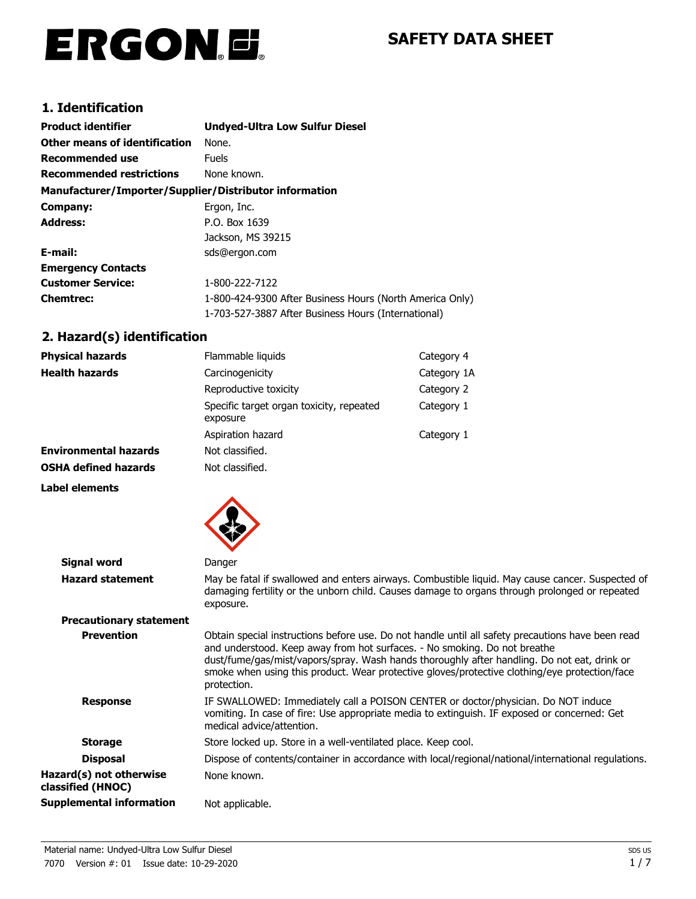# ERGON.E.

# **SAFETY DATA SHEET**

## **1. Identification**

| <b>Product identifier</b>                              | <b>Undyed-Ultra Low Sulfur Diesel</b>                    |
|--------------------------------------------------------|----------------------------------------------------------|
| Other means of identification                          | None.                                                    |
| Recommended use                                        | <b>Fuels</b>                                             |
| <b>Recommended restrictions</b>                        | None known.                                              |
| Manufacturer/Importer/Supplier/Distributor information |                                                          |
| Company:                                               | Ergon, Inc.                                              |
| <b>Address:</b>                                        | P.O. Box 1639                                            |
|                                                        | Jackson, MS 39215                                        |
| E-mail:                                                | sds@ergon.com                                            |
| <b>Emergency Contacts</b>                              |                                                          |
| <b>Customer Service:</b>                               | 1-800-222-7122                                           |
| <b>Chemtrec:</b>                                       | 1-800-424-9300 After Business Hours (North America Only) |
|                                                        | 1-703-527-3887 After Business Hours (International)      |

### **2. Hazard(s) identification**

| <b>Physical hazards</b>      | Flammable liquids                                    | Category 4  |
|------------------------------|------------------------------------------------------|-------------|
| <b>Health hazards</b>        | Carcinogenicity                                      | Category 1A |
|                              | Reproductive toxicity                                | Category 2  |
|                              | Specific target organ toxicity, repeated<br>exposure | Category 1  |
|                              | Aspiration hazard                                    | Category 1  |
| <b>Environmental hazards</b> | Not classified.                                      |             |
| <b>OSHA defined hazards</b>  | Not classified.                                      |             |





| Signal word                                  | Danger                                                                                                                                                                                                                                                                                                                                                                                        |
|----------------------------------------------|-----------------------------------------------------------------------------------------------------------------------------------------------------------------------------------------------------------------------------------------------------------------------------------------------------------------------------------------------------------------------------------------------|
| <b>Hazard statement</b>                      | May be fatal if swallowed and enters airways. Combustible liquid. May cause cancer. Suspected of<br>damaging fertility or the unborn child. Causes damage to organs through prolonged or repeated<br>exposure.                                                                                                                                                                                |
| <b>Precautionary statement</b>               |                                                                                                                                                                                                                                                                                                                                                                                               |
| <b>Prevention</b>                            | Obtain special instructions before use. Do not handle until all safety precautions have been read<br>and understood. Keep away from hot surfaces. - No smoking. Do not breathe<br>dust/fume/gas/mist/vapors/spray. Wash hands thoroughly after handling. Do not eat, drink or<br>smoke when using this product. Wear protective gloves/protective clothing/eye protection/face<br>protection. |
| <b>Response</b>                              | IF SWALLOWED: Immediately call a POISON CENTER or doctor/physician. Do NOT induce<br>vomiting. In case of fire: Use appropriate media to extinguish. IF exposed or concerned: Get<br>medical advice/attention.                                                                                                                                                                                |
| <b>Storage</b>                               | Store locked up. Store in a well-ventilated place. Keep cool.                                                                                                                                                                                                                                                                                                                                 |
| <b>Disposal</b>                              | Dispose of contents/container in accordance with local/regional/national/international regulations.                                                                                                                                                                                                                                                                                           |
| Hazard(s) not otherwise<br>classified (HNOC) | None known.                                                                                                                                                                                                                                                                                                                                                                                   |
| <b>Supplemental information</b>              | Not applicable.                                                                                                                                                                                                                                                                                                                                                                               |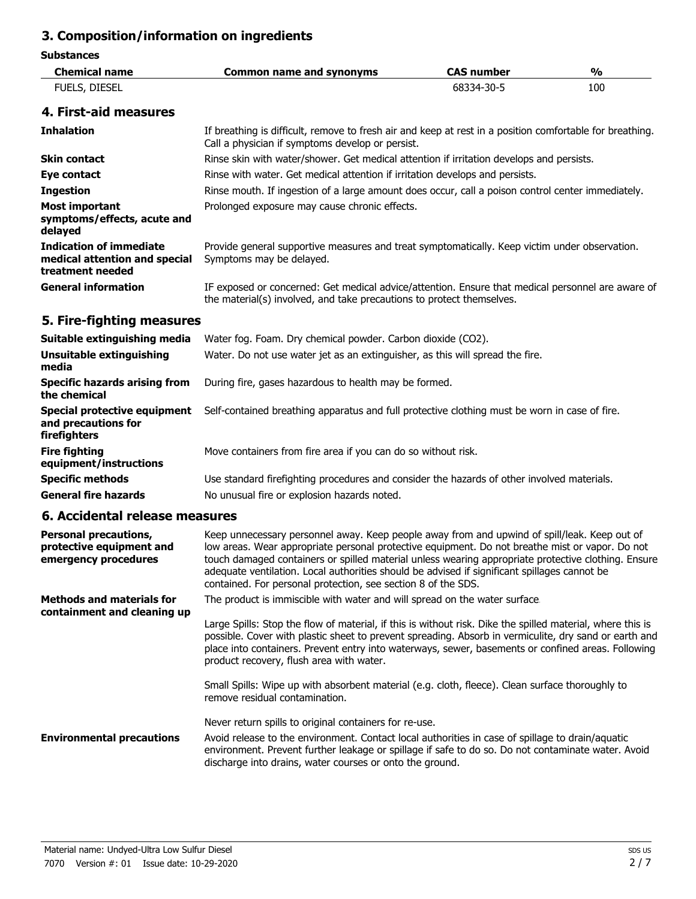# **3. Composition/information on ingredients**

| Substances                                                                          |                                                                                                                                                                                                                                                                                                                                                                                                                                                                         |                   |               |
|-------------------------------------------------------------------------------------|-------------------------------------------------------------------------------------------------------------------------------------------------------------------------------------------------------------------------------------------------------------------------------------------------------------------------------------------------------------------------------------------------------------------------------------------------------------------------|-------------------|---------------|
| <b>Chemical name</b>                                                                | <b>Common name and synonyms</b>                                                                                                                                                                                                                                                                                                                                                                                                                                         | <b>CAS number</b> | $\frac{0}{0}$ |
| FUELS, DIESEL                                                                       |                                                                                                                                                                                                                                                                                                                                                                                                                                                                         | 68334-30-5        | 100           |
| 4. First-aid measures                                                               |                                                                                                                                                                                                                                                                                                                                                                                                                                                                         |                   |               |
| <b>Inhalation</b>                                                                   | If breathing is difficult, remove to fresh air and keep at rest in a position comfortable for breathing.<br>Call a physician if symptoms develop or persist.                                                                                                                                                                                                                                                                                                            |                   |               |
| <b>Skin contact</b>                                                                 | Rinse skin with water/shower. Get medical attention if irritation develops and persists.                                                                                                                                                                                                                                                                                                                                                                                |                   |               |
| Eye contact                                                                         | Rinse with water. Get medical attention if irritation develops and persists.                                                                                                                                                                                                                                                                                                                                                                                            |                   |               |
| <b>Ingestion</b>                                                                    | Rinse mouth. If ingestion of a large amount does occur, call a poison control center immediately.                                                                                                                                                                                                                                                                                                                                                                       |                   |               |
| <b>Most important</b><br>symptoms/effects, acute and<br>delayed                     | Prolonged exposure may cause chronic effects.                                                                                                                                                                                                                                                                                                                                                                                                                           |                   |               |
| <b>Indication of immediate</b><br>medical attention and special<br>treatment needed | Provide general supportive measures and treat symptomatically. Keep victim under observation.<br>Symptoms may be delayed.                                                                                                                                                                                                                                                                                                                                               |                   |               |
| <b>General information</b>                                                          | IF exposed or concerned: Get medical advice/attention. Ensure that medical personnel are aware of<br>the material(s) involved, and take precautions to protect themselves.                                                                                                                                                                                                                                                                                              |                   |               |
| 5. Fire-fighting measures                                                           |                                                                                                                                                                                                                                                                                                                                                                                                                                                                         |                   |               |
| Suitable extinguishing media                                                        | Water fog. Foam. Dry chemical powder. Carbon dioxide (CO2).                                                                                                                                                                                                                                                                                                                                                                                                             |                   |               |
| <b>Unsuitable extinguishing</b><br>media                                            | Water. Do not use water jet as an extinguisher, as this will spread the fire.                                                                                                                                                                                                                                                                                                                                                                                           |                   |               |
| <b>Specific hazards arising from</b><br>the chemical                                | During fire, gases hazardous to health may be formed.                                                                                                                                                                                                                                                                                                                                                                                                                   |                   |               |
| <b>Special protective equipment</b><br>and precautions for<br>firefighters          | Self-contained breathing apparatus and full protective clothing must be worn in case of fire.                                                                                                                                                                                                                                                                                                                                                                           |                   |               |
| <b>Fire fighting</b><br>equipment/instructions                                      | Move containers from fire area if you can do so without risk.                                                                                                                                                                                                                                                                                                                                                                                                           |                   |               |
| <b>Specific methods</b>                                                             | Use standard firefighting procedures and consider the hazards of other involved materials.                                                                                                                                                                                                                                                                                                                                                                              |                   |               |
| <b>General fire hazards</b>                                                         | No unusual fire or explosion hazards noted.                                                                                                                                                                                                                                                                                                                                                                                                                             |                   |               |
| 6. Accidental release measures                                                      |                                                                                                                                                                                                                                                                                                                                                                                                                                                                         |                   |               |
| <b>Personal precautions,</b><br>protective equipment and<br>emergency procedures    | Keep unnecessary personnel away. Keep people away from and upwind of spill/leak. Keep out of<br>low areas. Wear appropriate personal protective equipment. Do not breathe mist or vapor. Do not<br>touch damaged containers or spilled material unless wearing appropriate protective clothing. Ensure<br>adequate ventilation. Local authorities should be advised if significant spillages cannot be<br>contained. For personal protection, see section 8 of the SDS. |                   |               |
| <b>Methods and materials for</b>                                                    | The product is immiscible with water and will spread on the water surface.                                                                                                                                                                                                                                                                                                                                                                                              |                   |               |
| containment and cleaning up                                                         | Large Spills: Stop the flow of material, if this is without risk. Dike the spilled material, where this is<br>possible. Cover with plastic sheet to prevent spreading. Absorb in vermiculite, dry sand or earth and<br>place into containers. Prevent entry into waterways, sewer, basements or confined areas. Following<br>product recovery, flush area with water.                                                                                                   |                   |               |
|                                                                                     | Small Spills: Wipe up with absorbent material (e.g. cloth, fleece). Clean surface thoroughly to<br>remove residual contamination.                                                                                                                                                                                                                                                                                                                                       |                   |               |
|                                                                                     | Never return spills to original containers for re-use.                                                                                                                                                                                                                                                                                                                                                                                                                  |                   |               |
| <b>Environmental precautions</b>                                                    | Avoid release to the environment. Contact local authorities in case of spillage to drain/aquatic<br>environment. Prevent further leakage or spillage if safe to do so. Do not contaminate water. Avoid<br>discharge into drains, water courses or onto the ground.                                                                                                                                                                                                      |                   |               |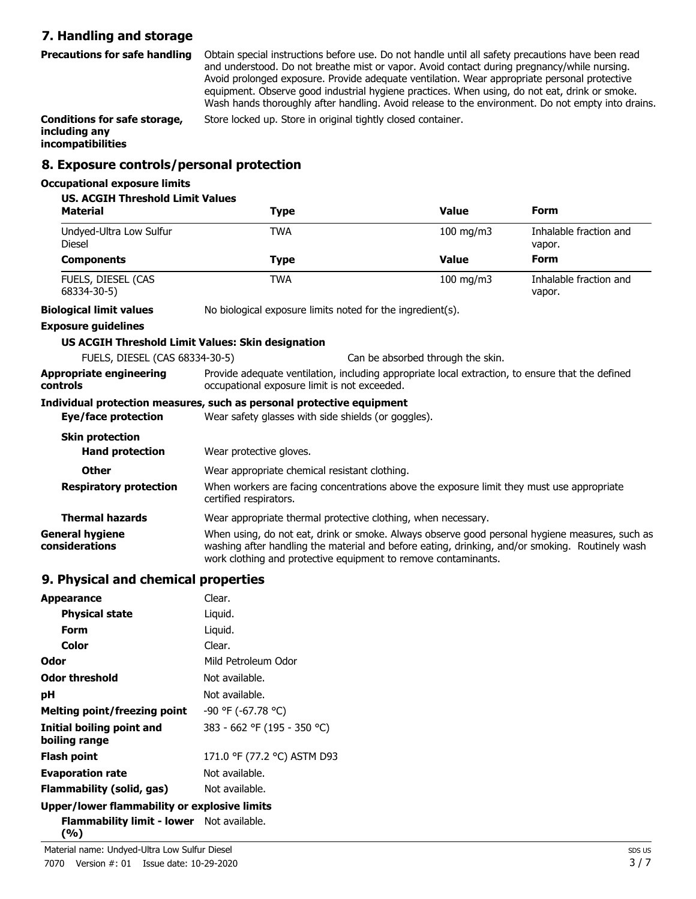## **7. Handling and storage**

**Precautions for safe handling**

Obtain special instructions before use. Do not handle until all safety precautions have been read and understood. Do not breathe mist or vapor. Avoid contact during pregnancy/while nursing. Avoid prolonged exposure. Provide adequate ventilation. Wear appropriate personal protective equipment. Observe good industrial hygiene practices. When using, do not eat, drink or smoke. Wash hands thoroughly after handling. Avoid release to the environment. Do not empty into drains. **Conditions for safe storage,** Store locked up. Store in original tightly closed container.

**including any incompatibilities**

#### **8. Exposure controls/personal protection**

#### **Occupational exposure limits**

#### **US. ACGIH Threshold Limit Values**

| <b>Material</b>                            | <b>Type</b>                                                                                                                                                                                                                                                         | <b>Value</b>                      | Form                             |
|--------------------------------------------|---------------------------------------------------------------------------------------------------------------------------------------------------------------------------------------------------------------------------------------------------------------------|-----------------------------------|----------------------------------|
| Undyed-Ultra Low Sulfur<br>Diesel          | <b>TWA</b>                                                                                                                                                                                                                                                          | 100 mg/m3                         | Inhalable fraction and<br>vapor. |
| <b>Components</b>                          | Type                                                                                                                                                                                                                                                                | <b>Value</b>                      | <b>Form</b>                      |
| FUELS, DIESEL (CAS<br>68334-30-5)          | <b>TWA</b>                                                                                                                                                                                                                                                          | 100 mg/m3                         | Inhalable fraction and<br>vapor. |
| <b>Biological limit values</b>             | No biological exposure limits noted for the ingredient(s).                                                                                                                                                                                                          |                                   |                                  |
| <b>Exposure guidelines</b>                 |                                                                                                                                                                                                                                                                     |                                   |                                  |
|                                            | US ACGIH Threshold Limit Values: Skin designation                                                                                                                                                                                                                   |                                   |                                  |
| FUELS, DIESEL (CAS 68334-30-5)             |                                                                                                                                                                                                                                                                     | Can be absorbed through the skin. |                                  |
| <b>Appropriate engineering</b><br>controls | Provide adequate ventilation, including appropriate local extraction, to ensure that the defined<br>occupational exposure limit is not exceeded.                                                                                                                    |                                   |                                  |
|                                            | Individual protection measures, such as personal protective equipment                                                                                                                                                                                               |                                   |                                  |
| Eye/face protection                        | Wear safety glasses with side shields (or goggles).                                                                                                                                                                                                                 |                                   |                                  |
| <b>Skin protection</b>                     |                                                                                                                                                                                                                                                                     |                                   |                                  |
| <b>Hand protection</b>                     | Wear protective gloves.                                                                                                                                                                                                                                             |                                   |                                  |
| <b>Other</b>                               | Wear appropriate chemical resistant clothing.                                                                                                                                                                                                                       |                                   |                                  |
| <b>Respiratory protection</b>              | When workers are facing concentrations above the exposure limit they must use appropriate<br>certified respirators.                                                                                                                                                 |                                   |                                  |
| <b>Thermal hazards</b>                     | Wear appropriate thermal protective clothing, when necessary.                                                                                                                                                                                                       |                                   |                                  |
| <b>General hygiene</b><br>considerations   | When using, do not eat, drink or smoke. Always observe good personal hygiene measures, such as<br>washing after handling the material and before eating, drinking, and/or smoking. Routinely wash<br>work clothing and protective equipment to remove contaminants. |                                   |                                  |

#### **9. Physical and chemical properties**

| <b>Appearance</b>                                                | Clear.                      |
|------------------------------------------------------------------|-----------------------------|
| <b>Physical state</b>                                            | Liquid.                     |
| Form                                                             | Liguid.                     |
| Color                                                            | Clear.                      |
| Odor                                                             | Mild Petroleum Odor         |
| <b>Odor threshold</b>                                            | Not available.              |
| рH                                                               | Not available.              |
| Melting point/freezing point                                     | -90 °F (-67.78 °C)          |
| Initial boiling point and<br>boiling range                       | 383 - 662 °F (195 - 350 °C) |
| <b>Flash point</b>                                               | 171.0 °F (77.2 °C) ASTM D93 |
| <b>Evaporation rate</b>                                          | Not available.              |
| Flammability (solid, gas)                                        | Not available.              |
| tta a confliction of the concelled the contract of the character |                             |

#### **Upper/lower flammability or explosive limits**

**Flammability limit - lower** Not available.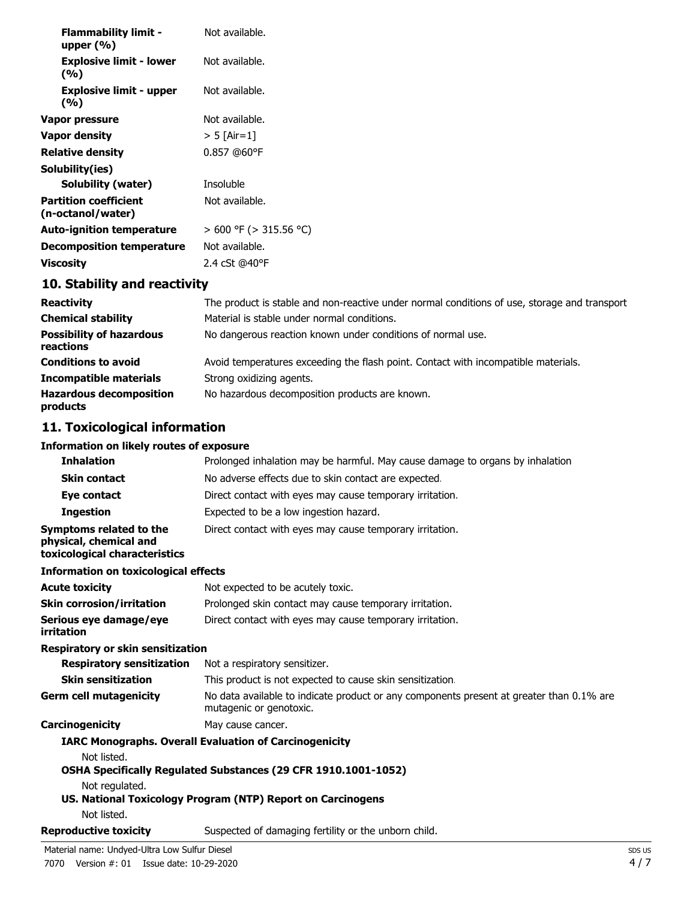| <b>Flammability limit -</b><br>upper $(\% )$      | Not available.              |
|---------------------------------------------------|-----------------------------|
| <b>Explosive limit - lower</b><br>(%)             | Not available.              |
| <b>Explosive limit - upper</b><br>(%)             | Not available.              |
| Vapor pressure                                    | Not available.              |
| <b>Vapor density</b>                              | $> 5$ [Air=1]               |
| <b>Relative density</b>                           | 0.857 @60°F                 |
| Solubility(ies)                                   |                             |
| <b>Solubility (water)</b>                         | Insoluble                   |
| <b>Partition coefficient</b><br>(n-octanol/water) | Not available.              |
| <b>Auto-ignition temperature</b>                  | $> 600$ °F ( $> 315.56$ °C) |
| <b>Decomposition temperature</b>                  | Not available.              |
| <b>Viscosity</b>                                  | 2.4 cSt @40°F               |
| 10. Stability and reactivity                      |                             |

| <b>Reactivity</b>                            | The product is stable and non-reactive under normal conditions of use, storage and transport |
|----------------------------------------------|----------------------------------------------------------------------------------------------|
| <b>Chemical stability</b>                    | Material is stable under normal conditions.                                                  |
| <b>Possibility of hazardous</b><br>reactions | No dangerous reaction known under conditions of normal use.                                  |
| <b>Conditions to avoid</b>                   | Avoid temperatures exceeding the flash point. Contact with incompatible materials.           |
| <b>Incompatible materials</b>                | Strong oxidizing agents.                                                                     |
| <b>Hazardous decomposition</b><br>products   | No hazardous decomposition products are known.                                               |

## **11. Toxicological information**

## **Information on likely routes of exposure**

| <b>Inhalation</b>                                                                  | Prolonged inhalation may be harmful. May cause damage to organs by inhalation                                       |
|------------------------------------------------------------------------------------|---------------------------------------------------------------------------------------------------------------------|
| <b>Skin contact</b>                                                                | No adverse effects due to skin contact are expected.                                                                |
| Eye contact                                                                        | Direct contact with eyes may cause temporary irritation.                                                            |
| <b>Ingestion</b>                                                                   | Expected to be a low ingestion hazard.                                                                              |
| Symptoms related to the<br>physical, chemical and<br>toxicological characteristics | Direct contact with eyes may cause temporary irritation.                                                            |
| <b>Information on toxicological effects</b>                                        |                                                                                                                     |
| <b>Acute toxicity</b>                                                              | Not expected to be acutely toxic.                                                                                   |
| <b>Skin corrosion/irritation</b>                                                   | Prolonged skin contact may cause temporary irritation.                                                              |
| Serious eye damage/eye<br>irritation                                               | Direct contact with eyes may cause temporary irritation.                                                            |
| <b>Respiratory or skin sensitization</b>                                           |                                                                                                                     |
| <b>Respiratory sensitization</b>                                                   | Not a respiratory sensitizer.                                                                                       |
| <b>Skin sensitization</b>                                                          | This product is not expected to cause skin sensitization.                                                           |
| <b>Germ cell mutagenicity</b>                                                      | No data available to indicate product or any components present at greater than 0.1% are<br>mutagenic or genotoxic. |
| <b>Carcinogenicity</b>                                                             | May cause cancer.                                                                                                   |
|                                                                                    | <b>IARC Monographs. Overall Evaluation of Carcinogenicity</b>                                                       |
| Not listed.                                                                        |                                                                                                                     |
|                                                                                    | OSHA Specifically Regulated Substances (29 CFR 1910.1001-1052)                                                      |
| Not regulated.                                                                     |                                                                                                                     |
| Not listed.                                                                        | US. National Toxicology Program (NTP) Report on Carcinogens                                                         |
| <b>Reproductive toxicity</b>                                                       | Suspected of damaging fertility or the unborn child.                                                                |
|                                                                                    |                                                                                                                     |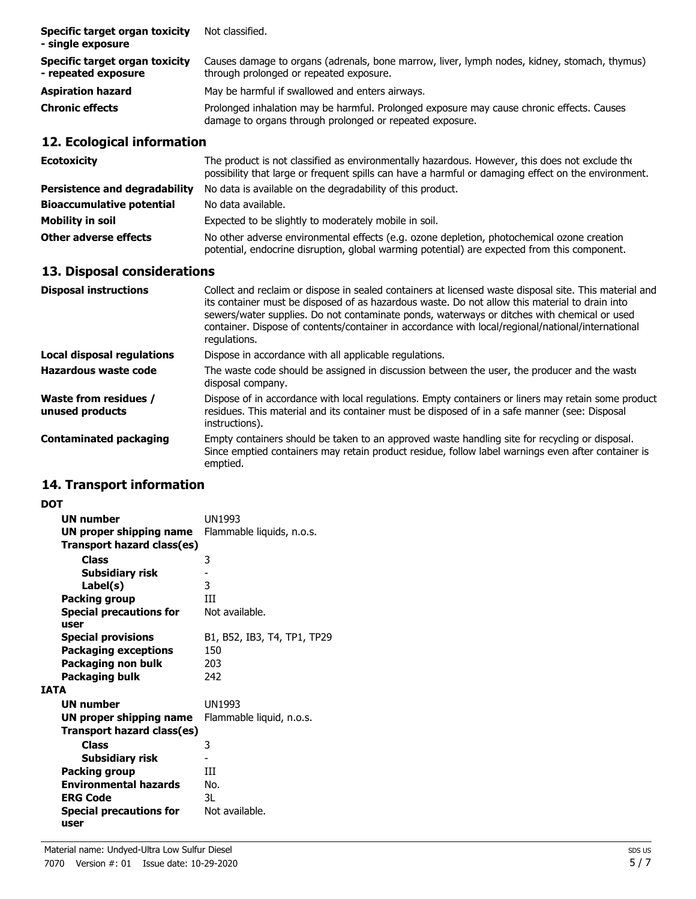| Specific target organ toxicity<br>- single exposure   | Not classified.                                                                                                                                       |
|-------------------------------------------------------|-------------------------------------------------------------------------------------------------------------------------------------------------------|
| Specific target organ toxicity<br>- repeated exposure | Causes damage to organs (adrenals, bone marrow, liver, lymph nodes, kidney, stomach, thymus)<br>through prolonged or repeated exposure.               |
| <b>Aspiration hazard</b>                              | May be harmful if swallowed and enters airways.                                                                                                       |
| <b>Chronic effects</b>                                | Prolonged inhalation may be harmful. Prolonged exposure may cause chronic effects. Causes<br>damage to organs through prolonged or repeated exposure. |

## **12. Ecological information**

| <b>Ecotoxicity</b>                   | The product is not classified as environmentally hazardous. However, this does not exclude the<br>possibility that large or frequent spills can have a harmful or damaging effect on the environment. |
|--------------------------------------|-------------------------------------------------------------------------------------------------------------------------------------------------------------------------------------------------------|
| <b>Persistence and degradability</b> | No data is available on the degradability of this product.                                                                                                                                            |
| <b>Bioaccumulative potential</b>     | No data available.                                                                                                                                                                                    |
| Mobility in soil                     | Expected to be slightly to moderately mobile in soil.                                                                                                                                                 |
| Other adverse effects                | No other adverse environmental effects (e.g. ozone depletion, photochemical ozone creation<br>potential, endocrine disruption, global warming potential) are expected from this component.            |

# **13. Disposal considerations**

| <b>Disposal instructions</b>                    | Collect and reclaim or dispose in sealed containers at licensed waste disposal site. This material and<br>its container must be disposed of as hazardous waste. Do not allow this material to drain into<br>sewers/water supplies. Do not contaminate ponds, waterways or ditches with chemical or used<br>container. Dispose of contents/container in accordance with local/regional/national/international<br>requlations. |
|-------------------------------------------------|------------------------------------------------------------------------------------------------------------------------------------------------------------------------------------------------------------------------------------------------------------------------------------------------------------------------------------------------------------------------------------------------------------------------------|
| <b>Local disposal regulations</b>               | Dispose in accordance with all applicable regulations.                                                                                                                                                                                                                                                                                                                                                                       |
| Hazardous waste code                            | The waste code should be assigned in discussion between the user, the producer and the waste<br>disposal company.                                                                                                                                                                                                                                                                                                            |
| <b>Waste from residues /</b><br>unused products | Dispose of in accordance with local regulations. Empty containers or liners may retain some product<br>residues. This material and its container must be disposed of in a safe manner (see: Disposal<br>instructions).                                                                                                                                                                                                       |
| <b>Contaminated packaging</b>                   | Empty containers should be taken to an approved waste handling site for recycling or disposal.<br>Since emptied containers may retain product residue, follow label warnings even after container is<br>emptied.                                                                                                                                                                                                             |

## **14. Transport information**

#### **DOT**

| וטע                                    |                             |
|----------------------------------------|-----------------------------|
| <b>UN number</b>                       | UN1993                      |
| UN proper shipping name                | Flammable liquids, n.o.s.   |
| Transport hazard class(es)             |                             |
| <b>Class</b>                           | 3                           |
| Subsidiary risk                        |                             |
| Label(s)                               | 3                           |
| Packing group                          | Ш                           |
| <b>Special precautions for</b>         | Not available.              |
| user                                   |                             |
| <b>Special provisions</b>              | B1, B52, IB3, T4, TP1, TP29 |
| <b>Packaging exceptions</b>            | 150                         |
| Packaging non bulk                     | 203                         |
| <b>Packaging bulk</b>                  | 242                         |
| IATA                                   |                             |
| <b>UN number</b>                       | UN1993                      |
| UN proper shipping name                | Flammable liquid, n.o.s.    |
| Transport hazard class(es)             |                             |
| <b>Class</b>                           | 3                           |
| Subsidiary risk                        |                             |
| Packing group                          | ĦТ                          |
| <b>Environmental hazards</b>           | No.                         |
| <b>ERG Code</b>                        | 3L                          |
| <b>Special precautions for</b><br>user | Not available.              |
|                                        |                             |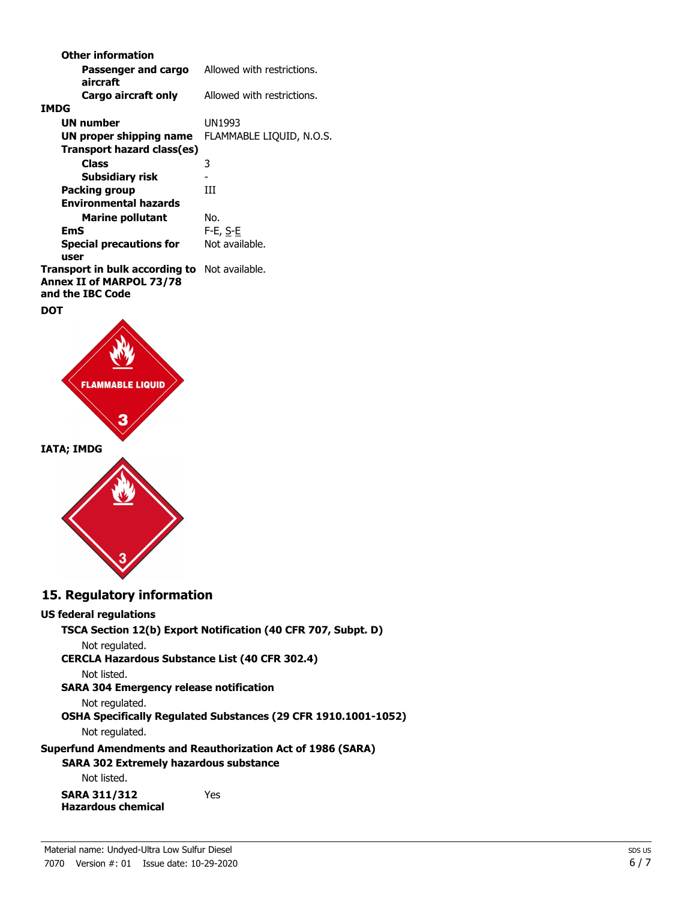| <b>Other information</b>                                                                             |                            |
|------------------------------------------------------------------------------------------------------|----------------------------|
| Passenger and cargo<br>aircraft                                                                      | Allowed with restrictions. |
| Cargo aircraft only                                                                                  | Allowed with restrictions. |
| <b>IMDG</b>                                                                                          |                            |
| <b>UN number</b>                                                                                     | UN1993                     |
| UN proper shipping name                                                                              | FLAMMABLE LIQUID, N.O.S.   |
| Transport hazard class(es)                                                                           |                            |
| <b>Class</b>                                                                                         | 3                          |
| Subsidiary risk                                                                                      |                            |
| Packing group                                                                                        | ĦТ                         |
| <b>Environmental hazards</b>                                                                         |                            |
| <b>Marine pollutant</b>                                                                              | No.                        |
| EmS                                                                                                  | F-E, S-E                   |
| <b>Special precautions for</b><br>user                                                               | Not available.             |
| <b>Transport in bulk according to</b> Not available.<br>Annex II of MARPOL 73/78<br>and the IBC Code |                            |
| DOT                                                                                                  |                            |



**IATA; IMDG**



## **15. Regulatory information**

#### **US federal regulations**

**TSCA Section 12(b) Export Notification (40 CFR 707, Subpt. D)** Not regulated.

**CERCLA Hazardous Substance List (40 CFR 302.4)**

Not listed.

**SARA 304 Emergency release notification**

Not regulated.

**OSHA Specifically Regulated Substances (29 CFR 1910.1001-1052)**

Not regulated.

**Superfund Amendments and Reauthorization Act of 1986 (SARA)**

**SARA 302 Extremely hazardous substance**

Not listed.

**Hazardous chemical**

**SARA 311/312** Yes